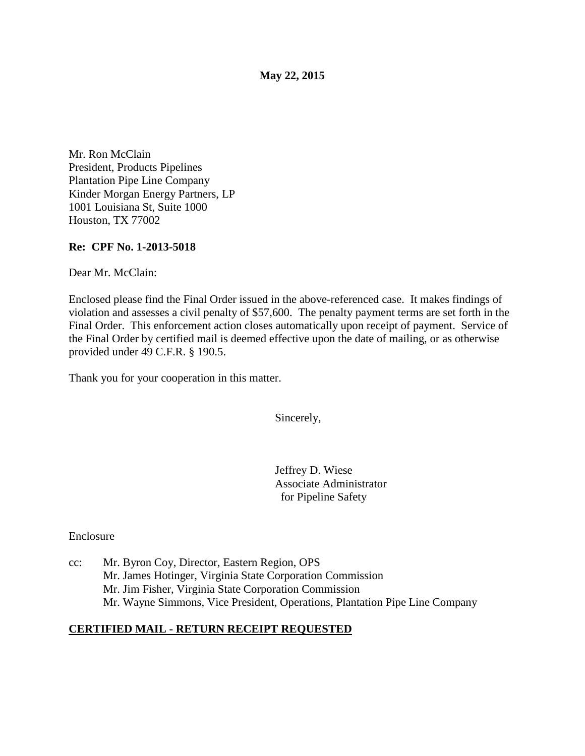**May 22, 2015** 

Mr. Ron McClain President, Products Pipelines Plantation Pipe Line Company Kinder Morgan Energy Partners, LP 1001 Louisiana St, Suite 1000 Houston, TX 77002

### **Re: CPF No. 1-2013-5018**

Dear Mr. McClain:

Enclosed please find the Final Order issued in the above-referenced case. It makes findings of violation and assesses a civil penalty of \$57,600. The penalty payment terms are set forth in the Final Order. This enforcement action closes automatically upon receipt of payment. Service of the Final Order by certified mail is deemed effective upon the date of mailing, or as otherwise provided under 49 C.F.R. § 190.5.

Thank you for your cooperation in this matter.

Sincerely,

Jeffrey D. Wiese Associate Administrator for Pipeline Safety

Enclosure

cc: Mr. Byron Coy, Director, Eastern Region, OPS Mr. James Hotinger, Virginia State Corporation Commission Mr. Jim Fisher, Virginia State Corporation Commission Mr. Wayne Simmons, Vice President, Operations, Plantation Pipe Line Company

# **CERTIFIED MAIL - RETURN RECEIPT REQUESTED**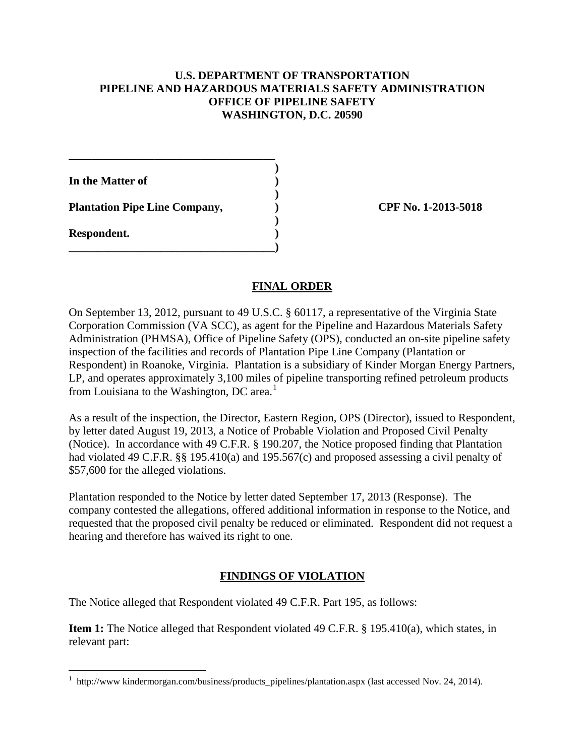### **U.S. DEPARTMENT OF TRANSPORTATION PIPELINE AND HAZARDOUS MATERIALS SAFETY ADMINISTRATION OFFICE OF PIPELINE SAFETY WASHINGTON, D.C. 20590**

**In the Matter of )** 

Plantation Pipe Line Company, 2001 2013-5018

**\_\_\_\_\_\_\_\_\_\_\_\_\_\_\_\_\_\_\_\_\_\_\_\_\_\_\_\_\_\_\_\_\_\_\_\_ )** 

 **)** 

 **)** 

**\_\_\_\_\_\_\_\_\_\_\_\_\_\_\_\_\_\_\_\_\_\_\_\_\_\_\_\_\_\_\_\_\_\_\_\_)** 

**Respondent. )** 

 $\overline{a}$ 

### **FINAL ORDER**

On September 13, 2012, pursuant to 49 U.S.C. § 60117, a representative of the Virginia State Corporation Commission (VA SCC), as agent for the Pipeline and Hazardous Materials Safety Administration (PHMSA), Office of Pipeline Safety (OPS), conducted an on-site pipeline safety inspection of the facilities and records of Plantation Pipe Line Company (Plantation or Respondent) in Roanoke, Virginia. Plantation is a subsidiary of Kinder Morgan Energy Partners, LP, and operates approximately 3,100 miles of pipeline transporting refined petroleum products from Louisiana to the Washington, DC area. $<sup>1</sup>$ </sup>

As a result of the inspection, the Director, Eastern Region, OPS (Director), issued to Respondent, by letter dated August 19, 2013, a Notice of Probable Violation and Proposed Civil Penalty (Notice). In accordance with 49 C.F.R. § 190.207, the Notice proposed finding that Plantation had violated 49 C.F.R. §§ 195.410(a) and 195.567(c) and proposed assessing a civil penalty of \$57,600 for the alleged violations.

Plantation responded to the Notice by letter dated September 17, 2013 (Response). The company contested the allegations, offered additional information in response to the Notice, and requested that the proposed civil penalty be reduced or eliminated. Respondent did not request a hearing and therefore has waived its right to one.

# **FINDINGS OF VIOLATION**

The Notice alleged that Respondent violated 49 C.F.R. Part 195, as follows:

**Item 1:** The Notice alleged that Respondent violated 49 C.F.R. § 195.410(a), which states, in relevant part:

<sup>&</sup>lt;sup>1</sup> http://www kindermorgan.com/business/products\_pipelines/plantation.aspx (last accessed Nov. 24, 2014).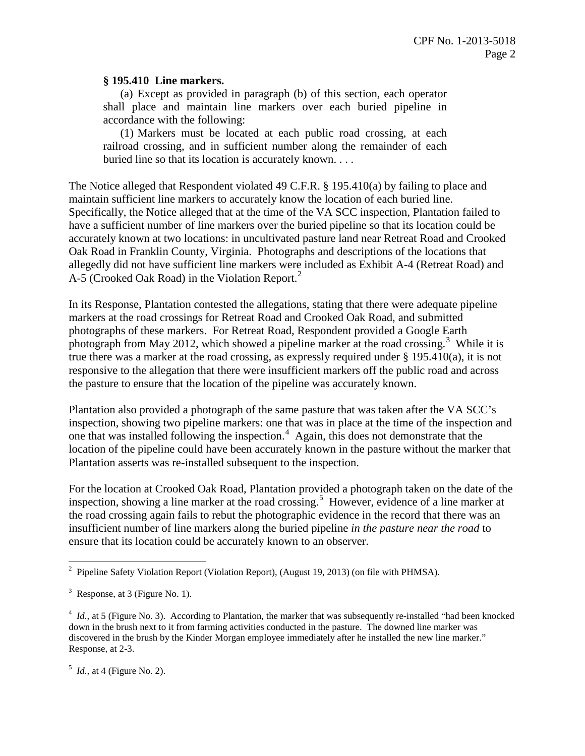#### **§ 195.410 Line markers.**

(a) Except as provided in paragraph (b) of this section, each operator shall place and maintain line markers over each buried pipeline in accordance with the following:

(1) Markers must be located at each public road crossing, at each railroad crossing, and in sufficient number along the remainder of each buried line so that its location is accurately known. . . .

The Notice alleged that Respondent violated 49 C.F.R. § 195.410(a) by failing to place and maintain sufficient line markers to accurately know the location of each buried line. Specifically, the Notice alleged that at the time of the VA SCC inspection, Plantation failed to have a sufficient number of line markers over the buried pipeline so that its location could be accurately known at two locations: in uncultivated pasture land near Retreat Road and Crooked Oak Road in Franklin County, Virginia. Photographs and descriptions of the locations that allegedly did not have sufficient line markers were included as Exhibit A-4 (Retreat Road) and A-5 (Crooked Oak Road) in the Violation Report.<sup>2</sup>

In its Response, Plantation contested the allegations, stating that there were adequate pipeline markers at the road crossings for Retreat Road and Crooked Oak Road, and submitted photographs of these markers. For Retreat Road, Respondent provided a Google Earth photograph from May 2012, which showed a pipeline marker at the road crossing.<sup>3</sup> While it is true there was a marker at the road crossing, as expressly required under § 195.410(a), it is not responsive to the allegation that there were insufficient markers off the public road and across the pasture to ensure that the location of the pipeline was accurately known.

Plantation also provided a photograph of the same pasture that was taken after the VA SCC's inspection, showing two pipeline markers: one that was in place at the time of the inspection and one that was installed following the inspection.<sup>4</sup> Again, this does not demonstrate that the location of the pipeline could have been accurately known in the pasture without the marker that Plantation asserts was re-installed subsequent to the inspection.

For the location at Crooked Oak Road, Plantation provided a photograph taken on the date of the inspection, showing a line marker at the road crossing.<sup>5</sup> However, evidence of a line marker at the road crossing again fails to rebut the photographic evidence in the record that there was an insufficient number of line markers along the buried pipeline *in the pasture near the road* to ensure that its location could be accurately known to an observer.

<sup>5</sup> *Id.*, at 4 (Figure No. 2).

<sup>&</sup>lt;sup>2</sup> Pipeline Safety Violation Report (Violation Report), (August 19, 2013) (on file with PHMSA).

 $3$  Response, at 3 (Figure No. 1).

<sup>&</sup>lt;sup>4</sup> *Id.*, at 5 (Figure No. 3). According to Plantation, the marker that was subsequently re-installed "had been knocked down in the brush next to it from farming activities conducted in the pasture. The downed line marker was discovered in the brush by the Kinder Morgan employee immediately after he installed the new line marker." Response, at 2-3.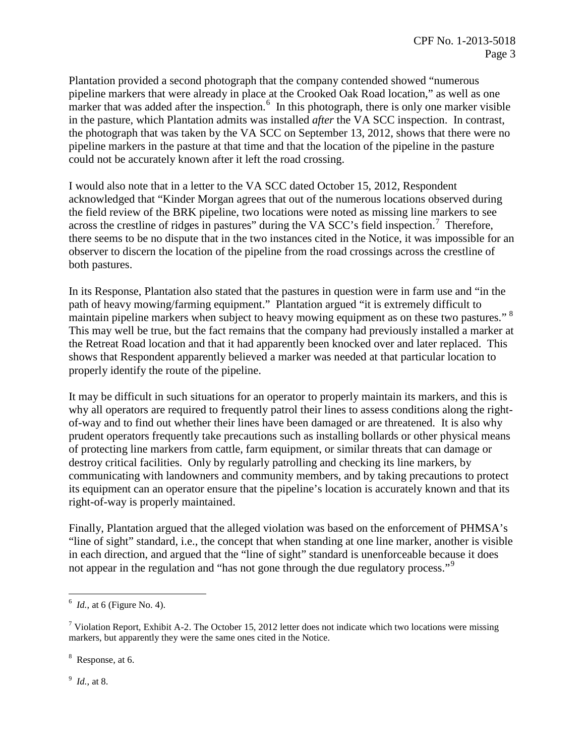Plantation provided a second photograph that the company contended showed "numerous pipeline markers that were already in place at the Crooked Oak Road location," as well as one marker that was added after the inspection.<sup>6</sup> In this photograph, there is only one marker visible in the pasture, which Plantation admits was installed *after* the VA SCC inspection. In contrast, the photograph that was taken by the VA SCC on September 13, 2012, shows that there were no pipeline markers in the pasture at that time and that the location of the pipeline in the pasture could not be accurately known after it left the road crossing.

I would also note that in a letter to the VA SCC dated October 15, 2012, Respondent acknowledged that "Kinder Morgan agrees that out of the numerous locations observed during the field review of the BRK pipeline, two locations were noted as missing line markers to see across the crestline of ridges in pastures" during the VA SCC's field inspection.<sup>7</sup> Therefore, there seems to be no dispute that in the two instances cited in the Notice, it was impossible for an observer to discern the location of the pipeline from the road crossings across the crestline of both pastures.

In its Response, Plantation also stated that the pastures in question were in farm use and "in the path of heavy mowing/farming equipment." Plantation argued "it is extremely difficult to maintain pipeline markers when subject to heavy mowing equipment as on these two pastures."<sup>8</sup> This may well be true, but the fact remains that the company had previously installed a marker at the Retreat Road location and that it had apparently been knocked over and later replaced. This shows that Respondent apparently believed a marker was needed at that particular location to properly identify the route of the pipeline.

It may be difficult in such situations for an operator to properly maintain its markers, and this is why all operators are required to frequently patrol their lines to assess conditions along the rightof-way and to find out whether their lines have been damaged or are threatened. It is also why prudent operators frequently take precautions such as installing bollards or other physical means of protecting line markers from cattle, farm equipment, or similar threats that can damage or destroy critical facilities. Only by regularly patrolling and checking its line markers, by communicating with landowners and community members, and by taking precautions to protect its equipment can an operator ensure that the pipeline's location is accurately known and that its right-of-way is properly maintained.

Finally, Plantation argued that the alleged violation was based on the enforcement of PHMSA's "line of sight" standard, i.e., the concept that when standing at one line marker, another is visible in each direction, and argued that the "line of sight" standard is unenforceable because it does not appear in the regulation and "has not gone through the due regulatory process."<sup>9</sup>

9 *Id.*, at 8.

 $\frac{6}{6}$  *Id.*, at 6 (Figure No. 4).

 $7$  Violation Report, Exhibit A-2. The October 15, 2012 letter does not indicate which two locations were missing markers, but apparently they were the same ones cited in the Notice.

<sup>&</sup>lt;sup>8</sup> Response, at 6.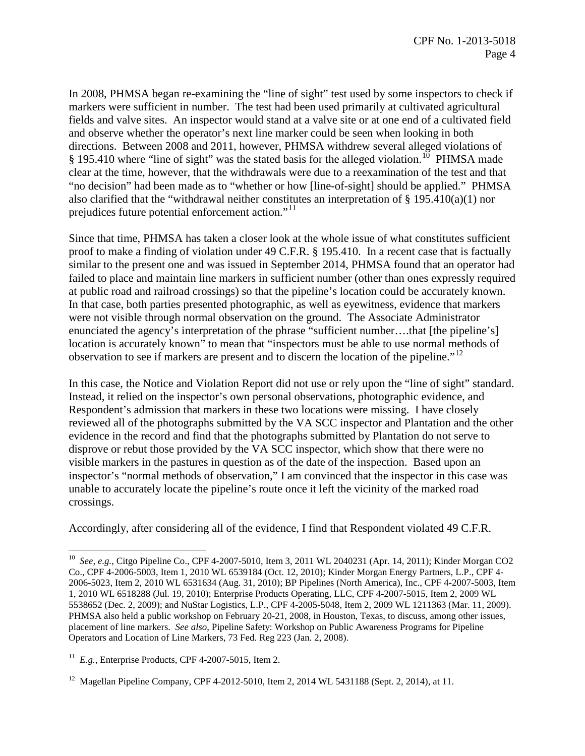In 2008, PHMSA began re-examining the "line of sight" test used by some inspectors to check if markers were sufficient in number. The test had been used primarily at cultivated agricultural fields and valve sites. An inspector would stand at a valve site or at one end of a cultivated field and observe whether the operator's next line marker could be seen when looking in both directions. Between 2008 and 2011, however, PHMSA withdrew several alleged violations of § 195.410 where "line of sight" was the stated basis for the alleged violation.<sup>10</sup> PHMSA made clear at the time, however, that the withdrawals were due to a reexamination of the test and that "no decision" had been made as to "whether or how [line-of-sight] should be applied." PHMSA also clarified that the "withdrawal neither constitutes an interpretation of  $\S$  195.410(a)(1) nor prejudices future potential enforcement action."<sup>11</sup>

Since that time, PHMSA has taken a closer look at the whole issue of what constitutes sufficient proof to make a finding of violation under 49 C.F.R. § 195.410. In a recent case that is factually similar to the present one and was issued in September 2014, PHMSA found that an operator had failed to place and maintain line markers in sufficient number (other than ones expressly required at public road and railroad crossings) so that the pipeline's location could be accurately known. In that case, both parties presented photographic, as well as eyewitness, evidence that markers were not visible through normal observation on the ground. The Associate Administrator enunciated the agency's interpretation of the phrase "sufficient number….that [the pipeline's] location is accurately known" to mean that "inspectors must be able to use normal methods of observation to see if markers are present and to discern the location of the pipeline."<sup>12</sup>

In this case, the Notice and Violation Report did not use or rely upon the "line of sight" standard. Instead, it relied on the inspector's own personal observations, photographic evidence, and Respondent's admission that markers in these two locations were missing. I have closely reviewed all of the photographs submitted by the VA SCC inspector and Plantation and the other evidence in the record and find that the photographs submitted by Plantation do not serve to disprove or rebut those provided by the VA SCC inspector, which show that there were no visible markers in the pastures in question as of the date of the inspection. Based upon an inspector's "normal methods of observation," I am convinced that the inspector in this case was unable to accurately locate the pipeline's route once it left the vicinity of the marked road crossings.

Accordingly, after considering all of the evidence, I find that Respondent violated 49 C.F.R.

 $\overline{a}$ 10 *See, e.g.*, Citgo Pipeline Co., CPF 4-2007-5010, Item 3, 2011 WL 2040231 (Apr. 14, 2011); Kinder Morgan CO2 Co., CPF 4-2006-5003, Item 1, 2010 WL 6539184 (Oct. 12, 2010); Kinder Morgan Energy Partners, L.P., CPF 4- 2006-5023, Item 2, 2010 WL 6531634 (Aug. 31, 2010); BP Pipelines (North America), Inc., CPF 4-2007-5003, Item 1, 2010 WL 6518288 (Jul. 19, 2010); Enterprise Products Operating, LLC, CPF 4-2007-5015, Item 2, 2009 WL 5538652 (Dec. 2, 2009); and NuStar Logistics, L.P., CPF 4-2005-5048, Item 2, 2009 WL 1211363 (Mar. 11, 2009). PHMSA also held a public workshop on February 20-21, 2008, in Houston, Texas, to discuss, among other issues, placement of line markers. *See also*, Pipeline Safety: Workshop on Public Awareness Programs for Pipeline Operators and Location of Line Markers, 73 Fed. Reg 223 (Jan. 2, 2008).

<sup>&</sup>lt;sup>11</sup> *E.g.*, Enterprise Products, CPF 4-2007-5015, Item 2.

<sup>&</sup>lt;sup>12</sup> Magellan Pipeline Company, CPF 4-2012-5010, Item 2, 2014 WL 5431188 (Sept. 2, 2014), at 11.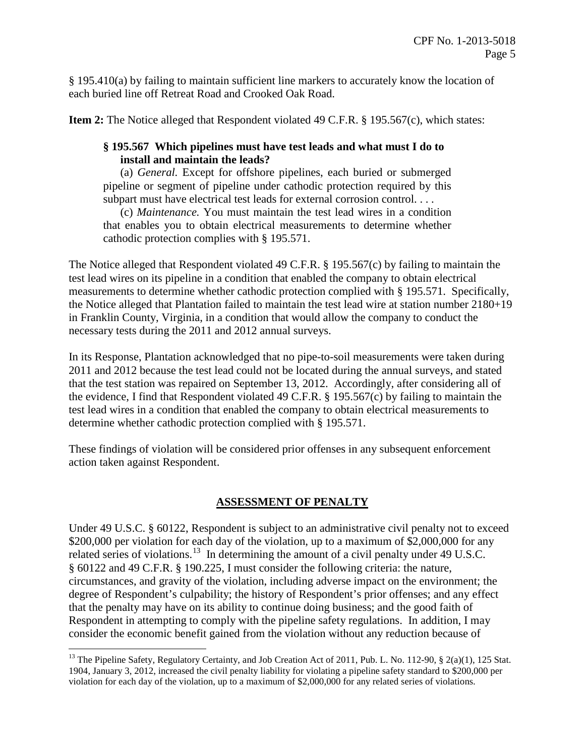§ 195.410(a) by failing to maintain sufficient line markers to accurately know the location of each buried line off Retreat Road and Crooked Oak Road.

**Item 2:** The Notice alleged that Respondent violated 49 C.F.R. § 195.567(c), which states:

# **§ 195.567 Which pipelines must have test leads and what must I do to install and maintain the leads?**

(a) *General.* Except for offshore pipelines, each buried or submerged pipeline or segment of pipeline under cathodic protection required by this subpart must have electrical test leads for external corrosion control. . . .

(c) *Maintenance.* You must maintain the test lead wires in a condition that enables you to obtain electrical measurements to determine whether cathodic protection complies with § 195.571.

The Notice alleged that Respondent violated 49 C.F.R. § 195.567(c) by failing to maintain the test lead wires on its pipeline in a condition that enabled the company to obtain electrical measurements to determine whether cathodic protection complied with § 195.571. Specifically, the Notice alleged that Plantation failed to maintain the test lead wire at station number 2180+19 in Franklin County, Virginia, in a condition that would allow the company to conduct the necessary tests during the 2011 and 2012 annual surveys.

In its Response, Plantation acknowledged that no pipe-to-soil measurements were taken during 2011 and 2012 because the test lead could not be located during the annual surveys, and stated that the test station was repaired on September 13, 2012. Accordingly, after considering all of the evidence, I find that Respondent violated 49 C.F.R. § 195.567(c) by failing to maintain the test lead wires in a condition that enabled the company to obtain electrical measurements to determine whether cathodic protection complied with § 195.571.

These findings of violation will be considered prior offenses in any subsequent enforcement action taken against Respondent.

# **ASSESSMENT OF PENALTY**

Under 49 U.S.C. § 60122, Respondent is subject to an administrative civil penalty not to exceed \$200,000 per violation for each day of the violation, up to a maximum of \$2,000,000 for any related series of violations.<sup>13</sup> In determining the amount of a civil penalty under 49 U.S.C. § 60122 and 49 C.F.R. § 190.225, I must consider the following criteria: the nature, circumstances, and gravity of the violation, including adverse impact on the environment; the degree of Respondent's culpability; the history of Respondent's prior offenses; and any effect that the penalty may have on its ability to continue doing business; and the good faith of Respondent in attempting to comply with the pipeline safety regulations. In addition, I may consider the economic benefit gained from the violation without any reduction because of

 $\overline{a}$ 

<sup>&</sup>lt;sup>13</sup> The Pipeline Safety, Regulatory Certainty, and Job Creation Act of 2011, Pub. L. No. 112-90,  $\S$  2(a)(1), 125 Stat. 1904, January 3, 2012, increased the civil penalty liability for violating a pipeline safety standard to \$200,000 per violation for each day of the violation, up to a maximum of \$2,000,000 for any related series of violations.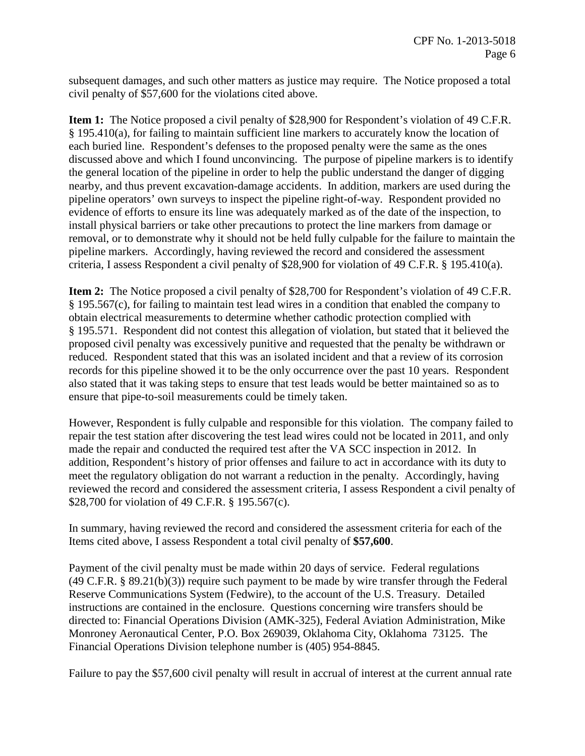subsequent damages, and such other matters as justice may require. The Notice proposed a total civil penalty of \$57,600 for the violations cited above.

**Item 1:** The Notice proposed a civil penalty of \$28,900 for Respondent's violation of 49 C.F.R. § 195.410(a), for failing to maintain sufficient line markers to accurately know the location of each buried line. Respondent's defenses to the proposed penalty were the same as the ones discussed above and which I found unconvincing. The purpose of pipeline markers is to identify the general location of the pipeline in order to help the public understand the danger of digging nearby, and thus prevent excavation-damage accidents. In addition, markers are used during the pipeline operators' own surveys to inspect the pipeline right-of-way. Respondent provided no evidence of efforts to ensure its line was adequately marked as of the date of the inspection, to install physical barriers or take other precautions to protect the line markers from damage or removal, or to demonstrate why it should not be held fully culpable for the failure to maintain the pipeline markers. Accordingly, having reviewed the record and considered the assessment criteria, I assess Respondent a civil penalty of \$28,900 for violation of 49 C.F.R. § 195.410(a).

**Item 2:** The Notice proposed a civil penalty of \$28,700 for Respondent's violation of 49 C.F.R. § 195.567(c), for failing to maintain test lead wires in a condition that enabled the company to obtain electrical measurements to determine whether cathodic protection complied with § 195.571. Respondent did not contest this allegation of violation, but stated that it believed the proposed civil penalty was excessively punitive and requested that the penalty be withdrawn or reduced. Respondent stated that this was an isolated incident and that a review of its corrosion records for this pipeline showed it to be the only occurrence over the past 10 years. Respondent also stated that it was taking steps to ensure that test leads would be better maintained so as to ensure that pipe-to-soil measurements could be timely taken.

However, Respondent is fully culpable and responsible for this violation. The company failed to repair the test station after discovering the test lead wires could not be located in 2011, and only made the repair and conducted the required test after the VA SCC inspection in 2012. In addition, Respondent's history of prior offenses and failure to act in accordance with its duty to meet the regulatory obligation do not warrant a reduction in the penalty. Accordingly, having reviewed the record and considered the assessment criteria, I assess Respondent a civil penalty of \$28,700 for violation of 49 C.F.R. § 195.567(c).

In summary, having reviewed the record and considered the assessment criteria for each of the Items cited above, I assess Respondent a total civil penalty of **\$57,600**.

Payment of the civil penalty must be made within 20 days of service. Federal regulations (49 C.F.R. § 89.21(b)(3)) require such payment to be made by wire transfer through the Federal Reserve Communications System (Fedwire), to the account of the U.S. Treasury. Detailed instructions are contained in the enclosure. Questions concerning wire transfers should be directed to: Financial Operations Division (AMK-325), Federal Aviation Administration, Mike Monroney Aeronautical Center, P.O. Box 269039, Oklahoma City, Oklahoma 73125. The Financial Operations Division telephone number is (405) 954-8845.

Failure to pay the \$57,600 civil penalty will result in accrual of interest at the current annual rate